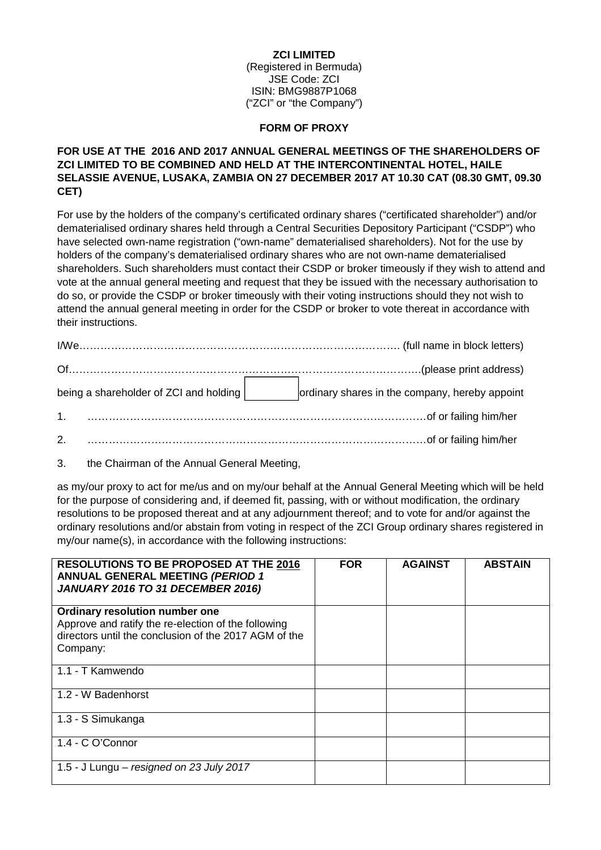#### **ZCI LIMITED**

(Registered in Bermuda) JSE Code: ZCI ISIN: BMG9887P1068 ("ZCI" or "the Company")

#### **FORM OF PROXY**

## **FOR USE AT THE 2016 AND 2017 ANNUAL GENERAL MEETINGS OF THE SHAREHOLDERS OF ZCI LIMITED TO BE COMBINED AND HELD AT THE INTERCONTINENTAL HOTEL, HAILE SELASSIE AVENUE, LUSAKA, ZAMBIA ON 27 DECEMBER 2017 AT 10.30 CAT (08.30 GMT, 09.30 CET)**

For use by the holders of the company's certificated ordinary shares ("certificated shareholder") and/or dematerialised ordinary shares held through a Central Securities Depository Participant ("CSDP") who have selected own-name registration ("own-name" dematerialised shareholders). Not for the use by holders of the company's dematerialised ordinary shares who are not own-name dematerialised shareholders. Such shareholders must contact their CSDP or broker timeously if they wish to attend and vote at the annual general meeting and request that they be issued with the necessary authorisation to do so, or provide the CSDP or broker timeously with their voting instructions should they not wish to attend the annual general meeting in order for the CSDP or broker to vote thereat in accordance with their instructions.

| being a shareholder of ZCI and holding | ordinary shares in the company, hereby appoint |
|----------------------------------------|------------------------------------------------|
|                                        |                                                |
| 2.                                     |                                                |

3. the Chairman of the Annual General Meeting,

as my/our proxy to act for me/us and on my/our behalf at the Annual General Meeting which will be held for the purpose of considering and, if deemed fit, passing, with or without modification, the ordinary resolutions to be proposed thereat and at any adjournment thereof; and to vote for and/or against the ordinary resolutions and/or abstain from voting in respect of the ZCI Group ordinary shares registered in my/our name(s), in accordance with the following instructions:

| <b>RESOLUTIONS TO BE PROPOSED AT THE 2016</b><br><b>ANNUAL GENERAL MEETING (PERIOD 1</b><br>JANUARY 2016 TO 31 DECEMBER 2016)                              | <b>FOR</b> | <b>AGAINST</b> | <b>ABSTAIN</b> |
|------------------------------------------------------------------------------------------------------------------------------------------------------------|------------|----------------|----------------|
| Ordinary resolution number one<br>Approve and ratify the re-election of the following<br>directors until the conclusion of the 2017 AGM of the<br>Company: |            |                |                |
| 1.1 - T Kamwendo                                                                                                                                           |            |                |                |
| 1.2 - W Badenhorst                                                                                                                                         |            |                |                |
| 1.3 - S Simukanga                                                                                                                                          |            |                |                |
| 1.4 - C O'Connor                                                                                                                                           |            |                |                |
| 1.5 - J Lungu $-$ resigned on 23 July 2017                                                                                                                 |            |                |                |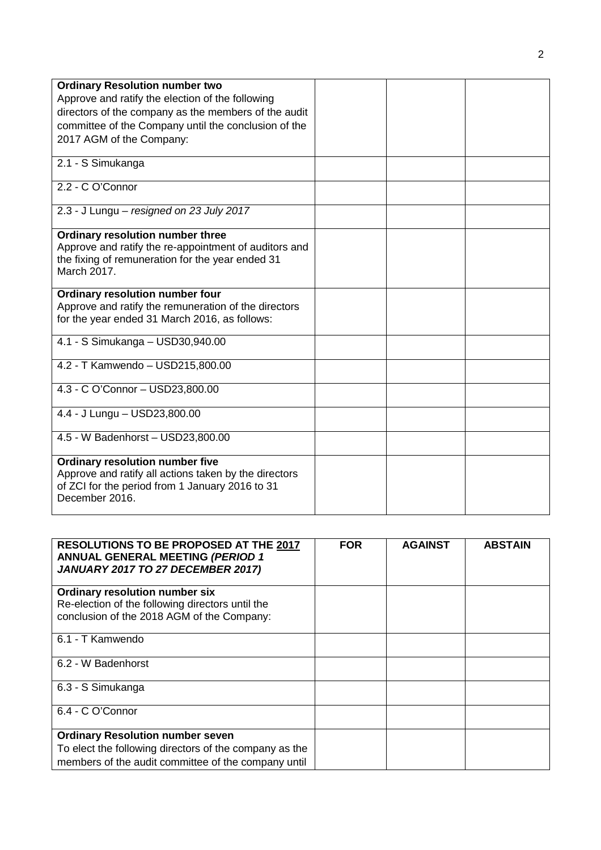| <b>Ordinary Resolution number two</b>                 |  |  |
|-------------------------------------------------------|--|--|
| Approve and ratify the election of the following      |  |  |
| directors of the company as the members of the audit  |  |  |
|                                                       |  |  |
| committee of the Company until the conclusion of the  |  |  |
| 2017 AGM of the Company:                              |  |  |
| 2.1 - S Simukanga                                     |  |  |
|                                                       |  |  |
| 2.2 - C O'Connor                                      |  |  |
|                                                       |  |  |
| 2.3 - J Lungu - resigned on 23 July 2017              |  |  |
| Ordinary resolution number three                      |  |  |
| Approve and ratify the re-appointment of auditors and |  |  |
| the fixing of remuneration for the year ended 31      |  |  |
| March 2017.                                           |  |  |
|                                                       |  |  |
| <b>Ordinary resolution number four</b>                |  |  |
| Approve and ratify the remuneration of the directors  |  |  |
| for the year ended 31 March 2016, as follows:         |  |  |
| 4.1 - S Simukanga - USD30,940.00                      |  |  |
|                                                       |  |  |
| 4.2 - T Kamwendo - USD215,800.00                      |  |  |
|                                                       |  |  |
| 4.3 - C O'Connor - USD23,800.00                       |  |  |
|                                                       |  |  |
| 4.4 - J Lungu - USD23,800.00                          |  |  |
| 4.5 - W Badenhorst - USD23,800.00                     |  |  |
|                                                       |  |  |
| <b>Ordinary resolution number five</b>                |  |  |
| Approve and ratify all actions taken by the directors |  |  |
| of ZCI for the period from 1 January 2016 to 31       |  |  |
| December 2016.                                        |  |  |
|                                                       |  |  |

| <b>RESOLUTIONS TO BE PROPOSED AT THE 2017</b><br><b>ANNUAL GENERAL MEETING (PERIOD 1</b><br>JANUARY 2017 TO 27 DECEMBER 2017) | <b>FOR</b> | <b>AGAINST</b> | <b>ABSTAIN</b> |
|-------------------------------------------------------------------------------------------------------------------------------|------------|----------------|----------------|
| <b>Ordinary resolution number six</b>                                                                                         |            |                |                |
| Re-election of the following directors until the<br>conclusion of the 2018 AGM of the Company:                                |            |                |                |
|                                                                                                                               |            |                |                |
| 6.1 - T Kamwendo                                                                                                              |            |                |                |
| 6.2 - W Badenhorst                                                                                                            |            |                |                |
| 6.3 - S Simukanga                                                                                                             |            |                |                |
| 6.4 - C O'Connor                                                                                                              |            |                |                |
| <b>Ordinary Resolution number seven</b>                                                                                       |            |                |                |
| To elect the following directors of the company as the                                                                        |            |                |                |
| members of the audit committee of the company until                                                                           |            |                |                |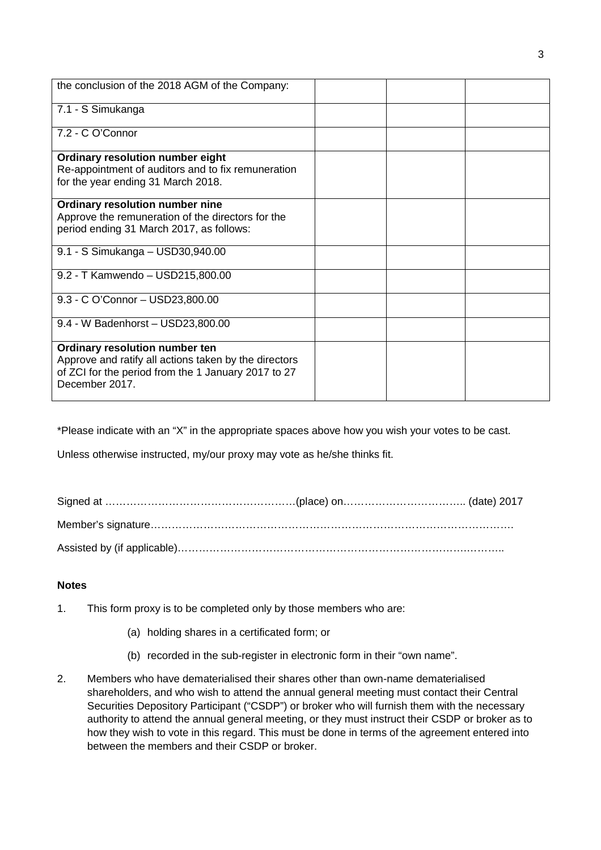| the conclusion of the 2018 AGM of the Company:        |  |
|-------------------------------------------------------|--|
| 7.1 - S Simukanga                                     |  |
| 7.2 - C O'Connor                                      |  |
| Ordinary resolution number eight                      |  |
| Re-appointment of auditors and to fix remuneration    |  |
|                                                       |  |
| for the year ending 31 March 2018.                    |  |
| Ordinary resolution number nine                       |  |
| Approve the remuneration of the directors for the     |  |
| period ending 31 March 2017, as follows:              |  |
|                                                       |  |
| 9.1 - S Simukanga - USD30,940.00                      |  |
|                                                       |  |
| 9.2 - T Kamwendo - USD215,800.00                      |  |
|                                                       |  |
| 9.3 - C O'Connor - USD23,800.00                       |  |
|                                                       |  |
| 9.4 - W Badenhorst - USD23,800.00                     |  |
|                                                       |  |
| Ordinary resolution number ten                        |  |
| Approve and ratify all actions taken by the directors |  |
| of ZCI for the period from the 1 January 2017 to 27   |  |
|                                                       |  |
| December 2017.                                        |  |
|                                                       |  |

\*Please indicate with an "X" in the appropriate spaces above how you wish your votes to be cast.

Unless otherwise instructed, my/our proxy may vote as he/she thinks fit.

# **Notes**

- 1. This form proxy is to be completed only by those members who are:
	- (a) holding shares in a certificated form; or
	- (b) recorded in the sub-register in electronic form in their "own name".
- 2. Members who have dematerialised their shares other than own-name dematerialised shareholders, and who wish to attend the annual general meeting must contact their Central Securities Depository Participant ("CSDP") or broker who will furnish them with the necessary authority to attend the annual general meeting, or they must instruct their CSDP or broker as to how they wish to vote in this regard. This must be done in terms of the agreement entered into between the members and their CSDP or broker.